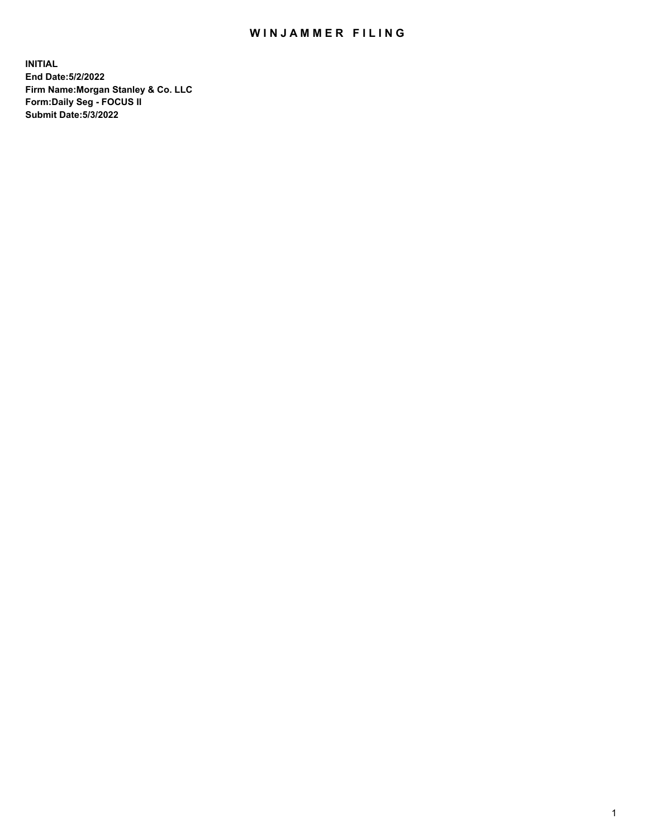## WIN JAMMER FILING

**INITIAL End Date:5/2/2022 Firm Name:Morgan Stanley & Co. LLC Form:Daily Seg - FOCUS II Submit Date:5/3/2022**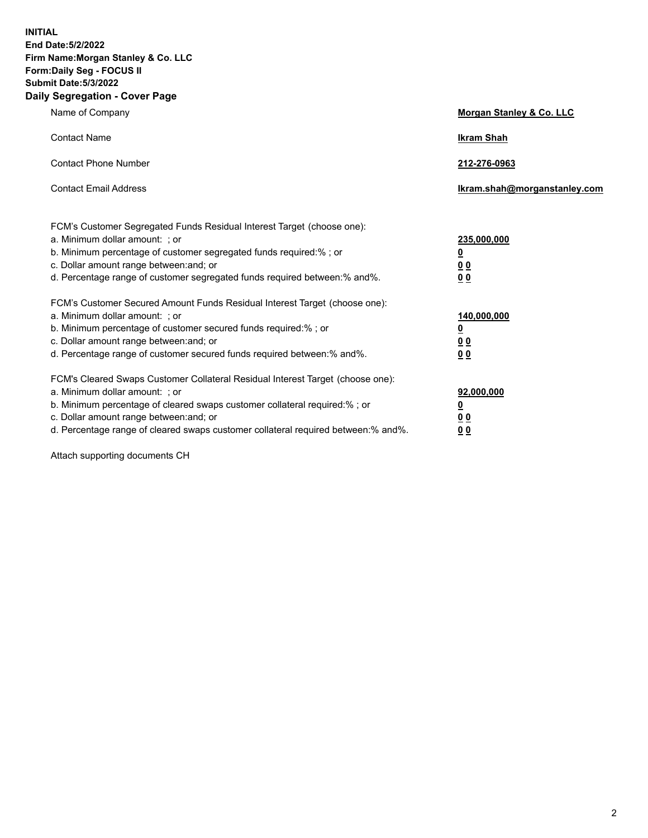**INITIAL End Date:5/2/2022 Firm Name:Morgan Stanley & Co. LLC Form:Daily Seg - FOCUS II Submit Date:5/3/2022 Daily Segregation - Cover Page**

| Name of Company                                                                                                                                                                                                                                                                                                               | Morgan Stanley & Co. LLC                                                     |
|-------------------------------------------------------------------------------------------------------------------------------------------------------------------------------------------------------------------------------------------------------------------------------------------------------------------------------|------------------------------------------------------------------------------|
| <b>Contact Name</b>                                                                                                                                                                                                                                                                                                           | <b>Ikram Shah</b>                                                            |
| <b>Contact Phone Number</b>                                                                                                                                                                                                                                                                                                   | 212-276-0963                                                                 |
| <b>Contact Email Address</b>                                                                                                                                                                                                                                                                                                  | Ikram.shah@morganstanley.com                                                 |
| FCM's Customer Segregated Funds Residual Interest Target (choose one):<br>a. Minimum dollar amount: ; or<br>b. Minimum percentage of customer segregated funds required:% ; or<br>c. Dollar amount range between: and; or<br>d. Percentage range of customer segregated funds required between: % and %.                      | 235,000,000<br><u>0</u><br><u>00</u><br>0 Q                                  |
| FCM's Customer Secured Amount Funds Residual Interest Target (choose one):<br>a. Minimum dollar amount: ; or<br>b. Minimum percentage of customer secured funds required:%; or<br>c. Dollar amount range between: and; or<br>d. Percentage range of customer secured funds required between:% and%.                           | 140,000,000<br><u>0</u><br>$\underline{0}$ $\underline{0}$<br>0 <sup>0</sup> |
| FCM's Cleared Swaps Customer Collateral Residual Interest Target (choose one):<br>a. Minimum dollar amount: ; or<br>b. Minimum percentage of cleared swaps customer collateral required:%; or<br>c. Dollar amount range between: and; or<br>d. Percentage range of cleared swaps customer collateral required between:% and%. | 92,000,000<br><u>0</u><br><u>00</u><br>00                                    |

Attach supporting documents CH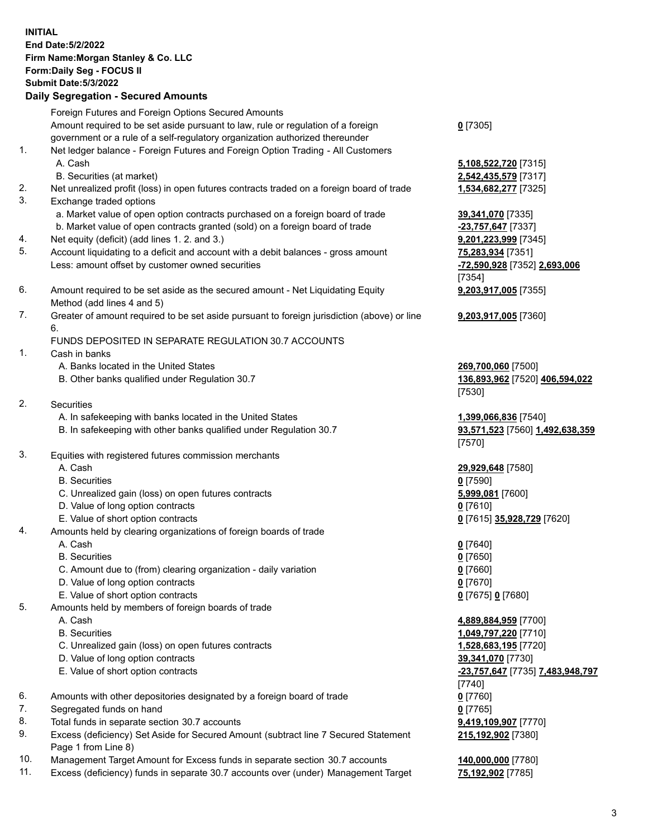|          | <b>INITIAL</b><br>End Date: 5/2/2022<br>Firm Name: Morgan Stanley & Co. LLC<br>Form: Daily Seg - FOCUS II<br><b>Submit Date: 5/3/2022</b><br><b>Daily Segregation - Secured Amounts</b>                                                            |                                                                                                                                           |
|----------|----------------------------------------------------------------------------------------------------------------------------------------------------------------------------------------------------------------------------------------------------|-------------------------------------------------------------------------------------------------------------------------------------------|
|          | Foreign Futures and Foreign Options Secured Amounts<br>Amount required to be set aside pursuant to law, rule or regulation of a foreign<br>government or a rule of a self-regulatory organization authorized thereunder                            | $0$ [7305]                                                                                                                                |
| 1.       | Net ledger balance - Foreign Futures and Foreign Option Trading - All Customers<br>A. Cash<br>B. Securities (at market)                                                                                                                            | 5,108,522,720 [7315]<br>2,542,435,579 [7317]                                                                                              |
| 2.<br>3. | Net unrealized profit (loss) in open futures contracts traded on a foreign board of trade<br>Exchange traded options<br>a. Market value of open option contracts purchased on a foreign board of trade                                             | 1,534,682,277 [7325]<br>39,341,070 [7335]                                                                                                 |
| 4.       | b. Market value of open contracts granted (sold) on a foreign board of trade<br>Net equity (deficit) (add lines 1. 2. and 3.)                                                                                                                      | -23,757,647 [7337]<br>9,201,223,999 [7345]                                                                                                |
| 5.       | Account liquidating to a deficit and account with a debit balances - gross amount<br>Less: amount offset by customer owned securities                                                                                                              | 75,283,934 [7351]<br>-72,590,928 [7352] 2,693,006<br>[7354]                                                                               |
| 6.       | Amount required to be set aside as the secured amount - Net Liquidating Equity<br>Method (add lines 4 and 5)                                                                                                                                       | 9,203,917,005 [7355]                                                                                                                      |
| 7.       | Greater of amount required to be set aside pursuant to foreign jurisdiction (above) or line<br>6.<br>FUNDS DEPOSITED IN SEPARATE REGULATION 30.7 ACCOUNTS                                                                                          | 9,203,917,005 [7360]                                                                                                                      |
| 1.       | Cash in banks<br>A. Banks located in the United States<br>B. Other banks qualified under Regulation 30.7                                                                                                                                           | 269,700,060 [7500]<br>136,893,962 [7520] 406,594,022                                                                                      |
| 2.       | <b>Securities</b><br>A. In safekeeping with banks located in the United States                                                                                                                                                                     | [7530]                                                                                                                                    |
|          | B. In safekeeping with other banks qualified under Regulation 30.7                                                                                                                                                                                 | 1,399,066,836 [7540]<br>93,571,523 [7560] 1,492,638,359<br>[7570]                                                                         |
| 3.       | Equities with registered futures commission merchants<br>A. Cash<br><b>B.</b> Securities<br>C. Unrealized gain (loss) on open futures contracts<br>D. Value of long option contracts<br>E. Value of short option contracts                         | 29,929,648 [7580]<br><u>0</u> [7590]<br>5,999,081 [7600]<br>0 [7610]<br>0 [7615] 35,928,729 [7620]                                        |
| 4.       | Amounts held by clearing organizations of foreign boards of trade<br>A. Cash<br><b>B.</b> Securities<br>C. Amount due to (from) clearing organization - daily variation<br>D. Value of long option contracts<br>E. Value of short option contracts | $0$ [7640]<br>$0$ [7650]<br>$0$ [7660]<br>0 [7670]<br>0 [7675] 0 [7680]                                                                   |
| 5.       | Amounts held by members of foreign boards of trade<br>A. Cash<br><b>B.</b> Securities<br>C. Unrealized gain (loss) on open futures contracts<br>D. Value of long option contracts<br>E. Value of short option contracts                            | 4,889,884,959 [7700]<br>1,049,797,220 [7710]<br>1,528,683,195 [7720]<br>39,341,070 [7730]<br>-23,757,647 [7735] 7,483,948,797<br>$[7740]$ |
| 6.       | Amounts with other depositories designated by a foreign board of trade                                                                                                                                                                             | $0$ [7760]                                                                                                                                |
| 7.       | Segregated funds on hand                                                                                                                                                                                                                           | $0$ [7765]                                                                                                                                |
| 8.<br>9. | Total funds in separate section 30.7 accounts<br>Excess (deficiency) Set Aside for Secured Amount (subtract line 7 Secured Statement                                                                                                               | 9,419,109,907 [7770]<br>215,192,902 [7380]                                                                                                |

- Page 1 from Line 8) 10. Management Target Amount for Excess funds in separate section 30.7 accounts **140,000,000** [7780]
- 11. Excess (deficiency) funds in separate 30.7 accounts over (under) Management Target **75,192,902** [7785]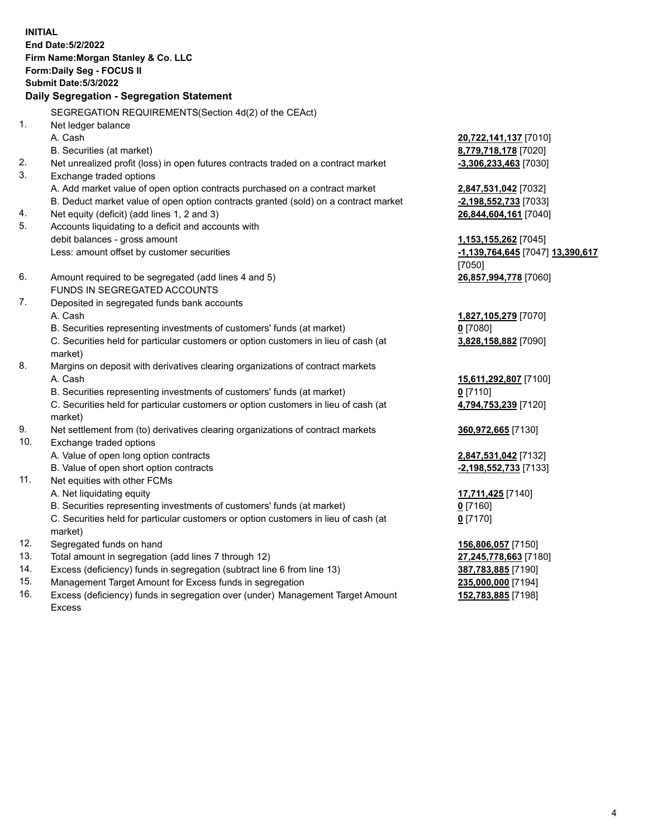**INITIAL End Date:5/2/2022 Firm Name:Morgan Stanley & Co. LLC Form:Daily Seg - FOCUS II Submit Date:5/3/2022 Daily Segregation - Segregation Statement** SEGREGATION REQUIREMENTS(Section 4d(2) of the CEAct) 1. Net ledger balance A. Cash **20,722,141,137** [7010] B. Securities (at market) **8,779,718,178** [7020] 2. Net unrealized profit (loss) in open futures contracts traded on a contract market **-3,306,233,463** [7030] 3. Exchange traded options A. Add market value of open option contracts purchased on a contract market **2,847,531,042** [7032] B. Deduct market value of open option contracts granted (sold) on a contract market **-2,198,552,733** [7033] 4. Net equity (deficit) (add lines 1, 2 and 3) **26,844,604,161** [7040] 5. Accounts liquidating to a deficit and accounts with debit balances - gross amount **1,153,155,262** [7045] Less: amount offset by customer securities **-1,139,764,645** [7047] **13,390,617** [7050] 6. Amount required to be segregated (add lines 4 and 5) **26,857,994,778** [7060] FUNDS IN SEGREGATED ACCOUNTS 7. Deposited in segregated funds bank accounts A. Cash **1,827,105,279** [7070] B. Securities representing investments of customers' funds (at market) **0** [7080] C. Securities held for particular customers or option customers in lieu of cash (at market) **3,828,158,882** [7090] 8. Margins on deposit with derivatives clearing organizations of contract markets A. Cash **15,611,292,807** [7100] B. Securities representing investments of customers' funds (at market) **0** [7110] C. Securities held for particular customers or option customers in lieu of cash (at market) **4,794,753,239** [7120] 9. Net settlement from (to) derivatives clearing organizations of contract markets **360,972,665** [7130] 10. Exchange traded options A. Value of open long option contracts **2,847,531,042** [7132] B. Value of open short option contracts **-2,198,552,733** [7133] 11. Net equities with other FCMs A. Net liquidating equity **17,711,425** [7140] B. Securities representing investments of customers' funds (at market) **0** [7160] C. Securities held for particular customers or option customers in lieu of cash (at market) **0** [7170] 12. Segregated funds on hand **156,806,057** [7150] 13. Total amount in segregation (add lines 7 through 12) **27,245,778,663** [7180] 14. Excess (deficiency) funds in segregation (subtract line 6 from line 13) **387,783,885** [7190] 15. Management Target Amount for Excess funds in segregation **235,000,000** [7194]

16. Excess (deficiency) funds in segregation over (under) Management Target Amount Excess

**152,783,885** [7198]